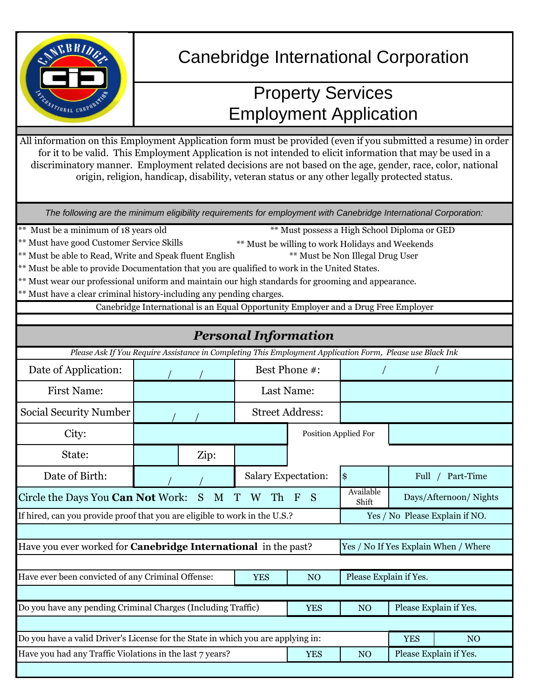

# Canebridge International Corporation

## Property Services Employment Application

All information on this Employment Application form must be provided (even if you submitted a resume) in order for it to be valid. This Employment Application is not intended to elicit information that may be used in a discriminatory manner. Employment related decisions are not based on the age, gender, race, color, national origin, religion, handicap, disability, veteran status or any other legally protected status.

*The following are the minimum eligibility requirements for employment with Canebridge International Corporation:*

Must be a minimum of 18 years old

\*\* Must possess a High School Diploma or GED

- \*\* Must have good Customer Service Skills \*\* Must be willing to work Holidays and Weekends
- \*\* Must be able to Read, Write and Speak fluent English \*\* Must be Non Illegal Drug User
- \*\* Must be able to provide Documentation that you are qualified to work in the United States.
- \*\* Must wear our professional uniform and maintain our high standards for grooming and appearance.
- \*\* Must have a clear criminal history-including any pending charges.

Canebridge International is an Equal Opportunity Employer and a Drug Free Employer

|                                                                                                           |                                                                                                             |              | <b>Personal Information</b>    |                       |                      |            |                                      |
|-----------------------------------------------------------------------------------------------------------|-------------------------------------------------------------------------------------------------------------|--------------|--------------------------------|-----------------------|----------------------|------------|--------------------------------------|
| Please Ask If You Require Assistance in Completing This Employment Application Form, Please use Black Ink |                                                                                                             |              |                                |                       |                      |            |                                      |
| Date of Application:                                                                                      |                                                                                                             |              | Best Phone #:                  |                       |                      |            |                                      |
| <b>First Name:</b>                                                                                        |                                                                                                             |              | Last Name:                     |                       |                      |            |                                      |
| Social Security Number                                                                                    |                                                                                                             |              | <b>Street Address:</b>         |                       |                      |            |                                      |
| City:                                                                                                     |                                                                                                             |              |                                |                       | Position Applied For |            |                                      |
| State:                                                                                                    |                                                                                                             | Zip:         |                                |                       |                      |            |                                      |
| Date of Birth:                                                                                            |                                                                                                             |              | <b>Salary Expectation:</b>     |                       | $\frac{3}{5}$        |            | Full / Part-Time                     |
| Circle the Days You Can Not Work:<br><sub>S</sub><br>M<br>W Th<br>$\mathbf T$                             |                                                                                                             | <sub>S</sub> | Available<br>Shift             | Days/Afternoon/Nights |                      |            |                                      |
| If hired, can you provide proof that you are eligible to work in the U.S.?                                |                                                                                                             |              | Yes / No Please Explain if NO. |                       |                      |            |                                      |
| Have you ever worked for <b>Canebridge International</b> in the past?                                     |                                                                                                             |              |                                |                       |                      |            | Yes / No If Yes Explain When / Where |
|                                                                                                           |                                                                                                             |              |                                |                       |                      |            |                                      |
|                                                                                                           | Have ever been convicted of any Criminal Offense:<br>Please Explain if Yes.<br><b>YES</b><br>N <sub>O</sub> |              |                                |                       |                      |            |                                      |
|                                                                                                           |                                                                                                             |              |                                |                       |                      |            |                                      |
| Do you have any pending Criminal Charges (Including Traffic)                                              |                                                                                                             |              |                                | <b>YES</b>            | N <sub>O</sub>       |            | Please Explain if Yes.               |
|                                                                                                           |                                                                                                             |              |                                |                       |                      |            |                                      |
| Do you have a valid Driver's License for the State in which you are applying in:                          |                                                                                                             |              |                                |                       |                      | <b>YES</b> | N <sub>O</sub>                       |
| Have you had any Traffic Violations in the last 7 years?                                                  |                                                                                                             |              |                                | <b>YES</b>            | N <sub>O</sub>       |            | Please Explain if Yes.               |
|                                                                                                           |                                                                                                             |              |                                |                       |                      |            |                                      |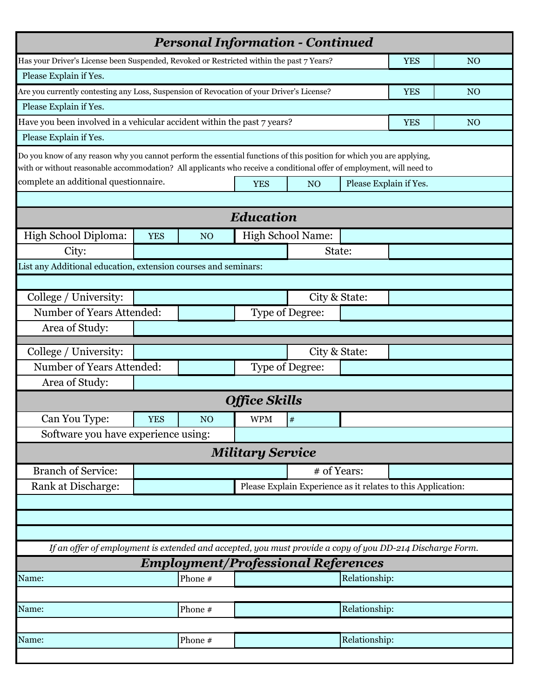|                                                                                                                       |            | <b>Personal Information - Continued</b>   |                         |                        |                                                              |                |  |
|-----------------------------------------------------------------------------------------------------------------------|------------|-------------------------------------------|-------------------------|------------------------|--------------------------------------------------------------|----------------|--|
| Has your Driver's License been Suspended, Revoked or Restricted within the past 7 Years?                              |            |                                           |                         |                        | <b>YES</b>                                                   | N <sub>O</sub> |  |
| Please Explain if Yes.                                                                                                |            |                                           |                         |                        |                                                              |                |  |
| Are you currently contesting any Loss, Suspension of Revocation of your Driver's License?                             |            |                                           |                         | <b>YES</b>             | N <sub>O</sub>                                               |                |  |
| Please Explain if Yes.                                                                                                |            |                                           |                         |                        |                                                              |                |  |
| Have you been involved in a vehicular accident within the past 7 years?                                               |            |                                           |                         |                        | <b>YES</b>                                                   | N <sub>O</sub> |  |
| Please Explain if Yes.                                                                                                |            |                                           |                         |                        |                                                              |                |  |
| Do you know of any reason why you cannot perform the essential functions of this position for which you are applying, |            |                                           |                         |                        |                                                              |                |  |
| with or without reasonable accommodation? All applicants who receive a conditional offer of employment, will need to  |            |                                           |                         |                        |                                                              |                |  |
| complete an additional questionnaire.<br>N <sub>O</sub><br><b>YES</b>                                                 |            |                                           |                         | Please Explain if Yes. |                                                              |                |  |
|                                                                                                                       |            |                                           |                         |                        |                                                              |                |  |
|                                                                                                                       |            |                                           | Education               |                        |                                                              |                |  |
| High School Diploma:                                                                                                  | <b>YES</b> | N <sub>O</sub>                            |                         | High School Name:      |                                                              |                |  |
| City:                                                                                                                 |            |                                           |                         |                        | State:                                                       |                |  |
| List any Additional education, extension courses and seminars:                                                        |            |                                           |                         |                        |                                                              |                |  |
|                                                                                                                       |            |                                           |                         |                        |                                                              |                |  |
| College / University:                                                                                                 |            |                                           |                         |                        | City & State:                                                |                |  |
| Number of Years Attended:                                                                                             |            |                                           |                         | <b>Type of Degree:</b> |                                                              |                |  |
| Area of Study:                                                                                                        |            |                                           |                         |                        |                                                              |                |  |
| College / University:                                                                                                 |            |                                           |                         |                        | City & State:                                                |                |  |
| Number of Years Attended:                                                                                             |            |                                           |                         | Type of Degree:        |                                                              |                |  |
| Area of Study:                                                                                                        |            |                                           |                         |                        |                                                              |                |  |
|                                                                                                                       |            |                                           |                         |                        |                                                              |                |  |
|                                                                                                                       |            |                                           | <b>Office Skills</b>    |                        |                                                              |                |  |
| Can You Type:                                                                                                         | <b>YES</b> | N <sub>O</sub>                            | <b>WPM</b>              | $\#$                   |                                                              |                |  |
| Software you have experience using:                                                                                   |            |                                           |                         |                        |                                                              |                |  |
|                                                                                                                       |            |                                           | <b>Military Service</b> |                        |                                                              |                |  |
| <b>Branch of Service:</b>                                                                                             |            |                                           |                         |                        | # of Years:                                                  |                |  |
| Rank at Discharge:                                                                                                    |            |                                           |                         |                        | Please Explain Experience as it relates to this Application: |                |  |
|                                                                                                                       |            |                                           |                         |                        |                                                              |                |  |
|                                                                                                                       |            |                                           |                         |                        |                                                              |                |  |
|                                                                                                                       |            |                                           |                         |                        |                                                              |                |  |
| If an offer of employment is extended and accepted, you must provide a copy of you DD-214 Discharge Form.             |            |                                           |                         |                        |                                                              |                |  |
|                                                                                                                       |            | <b>Employment/Professional References</b> |                         |                        |                                                              |                |  |
| Name:                                                                                                                 |            | Phone #                                   |                         |                        | Relationship:                                                |                |  |
|                                                                                                                       |            |                                           |                         |                        |                                                              |                |  |
| Name:                                                                                                                 |            | Phone #                                   |                         |                        | Relationship:                                                |                |  |
|                                                                                                                       |            |                                           |                         |                        |                                                              |                |  |
| Name:                                                                                                                 |            | Phone #                                   |                         |                        | Relationship:                                                |                |  |
|                                                                                                                       |            |                                           |                         |                        |                                                              |                |  |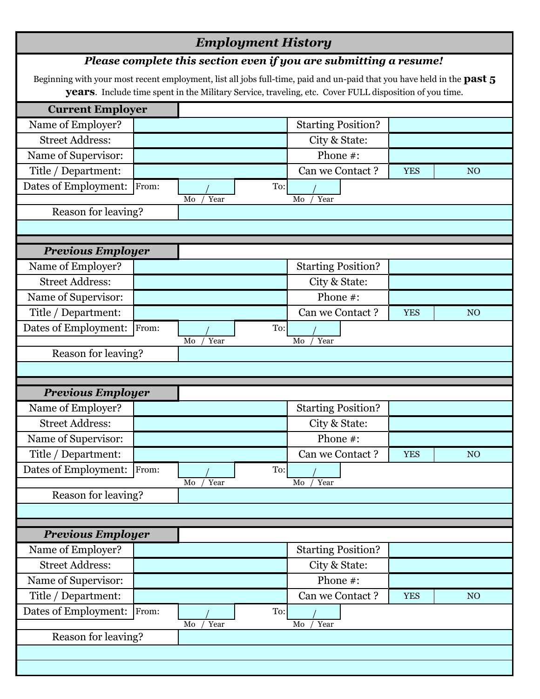### *Employment History*

#### *Please complete this section even if you are submitting a resume!*

Beginning with your most recent employment, list all jobs full-time, paid and un-paid that you have held in the **past 5 years**. Include time spent in the Military Service, traveling, etc. Cover FULL disposition of you time.

| <b>Current Employer</b>  |       |            |                 |                           |            |                 |                 |
|--------------------------|-------|------------|-----------------|---------------------------|------------|-----------------|-----------------|
| Name of Employer?        |       |            |                 | <b>Starting Position?</b> |            |                 |                 |
| <b>Street Address:</b>   |       |            | City & State:   |                           |            |                 |                 |
| Name of Supervisor:      |       |            | Phone #:        |                           |            |                 |                 |
| Title / Department:      |       |            | Can we Contact? |                           | <b>YES</b> | NO <sub>1</sub> |                 |
| Dates of Employment:     | From: |            | To:             |                           |            |                 |                 |
|                          |       | Year<br>Mo |                 | Mo<br>Year                |            |                 |                 |
| Reason for leaving?      |       |            |                 |                           |            |                 |                 |
|                          |       |            |                 |                           |            |                 |                 |
| <b>Previous Employer</b> |       |            |                 |                           |            |                 |                 |
| Name of Employer?        |       |            |                 | <b>Starting Position?</b> |            |                 |                 |
| <b>Street Address:</b>   |       |            |                 | City & State:             |            |                 |                 |
| Name of Supervisor:      |       |            |                 | Phone #:                  |            |                 |                 |
| Title / Department:      |       |            |                 | Can we Contact?           |            | <b>YES</b>      | NO <sub>1</sub> |
| Dates of Employment:     | From: |            | To:             |                           |            |                 |                 |
|                          |       | Year<br>Mo |                 | Year<br>Mo                |            |                 |                 |
| Reason for leaving?      |       |            |                 |                           |            |                 |                 |
|                          |       |            |                 |                           |            |                 |                 |
| <b>Previous Employer</b> |       |            |                 |                           |            |                 |                 |
| Name of Employer?        |       |            |                 | <b>Starting Position?</b> |            |                 |                 |
| <b>Street Address:</b>   |       |            |                 | City & State:             |            |                 |                 |
| Name of Supervisor:      |       |            |                 | Phone #:                  |            |                 |                 |
| Title / Department:      |       |            |                 | Can we Contact?           |            | <b>YES</b>      | NO <sub>1</sub> |
| Dates of Employment:     | From: |            | To:             |                           |            |                 |                 |
|                          |       | Mo<br>Year |                 | Year<br>Mo                |            |                 |                 |
| Reason for leaving?      |       |            |                 |                           |            |                 |                 |
|                          |       |            |                 |                           |            |                 |                 |
| <b>Previous Employer</b> |       |            |                 |                           |            |                 |                 |
| Name of Employer?        |       |            |                 | <b>Starting Position?</b> |            |                 |                 |
| <b>Street Address:</b>   |       |            |                 | City & State:             |            |                 |                 |
| Name of Supervisor:      |       |            |                 | Phone #:                  |            |                 |                 |
| Title / Department:      |       |            |                 | Can we Contact?           |            | <b>YES</b>      | NO <sub>1</sub> |
| Dates of Employment:     | From: |            | To:             |                           |            |                 |                 |
|                          |       | Mo<br>Year |                 | Mo<br>Year                |            |                 |                 |
| Reason for leaving?      |       |            |                 |                           |            |                 |                 |
|                          |       |            |                 |                           |            |                 |                 |
|                          |       |            |                 |                           |            |                 |                 |